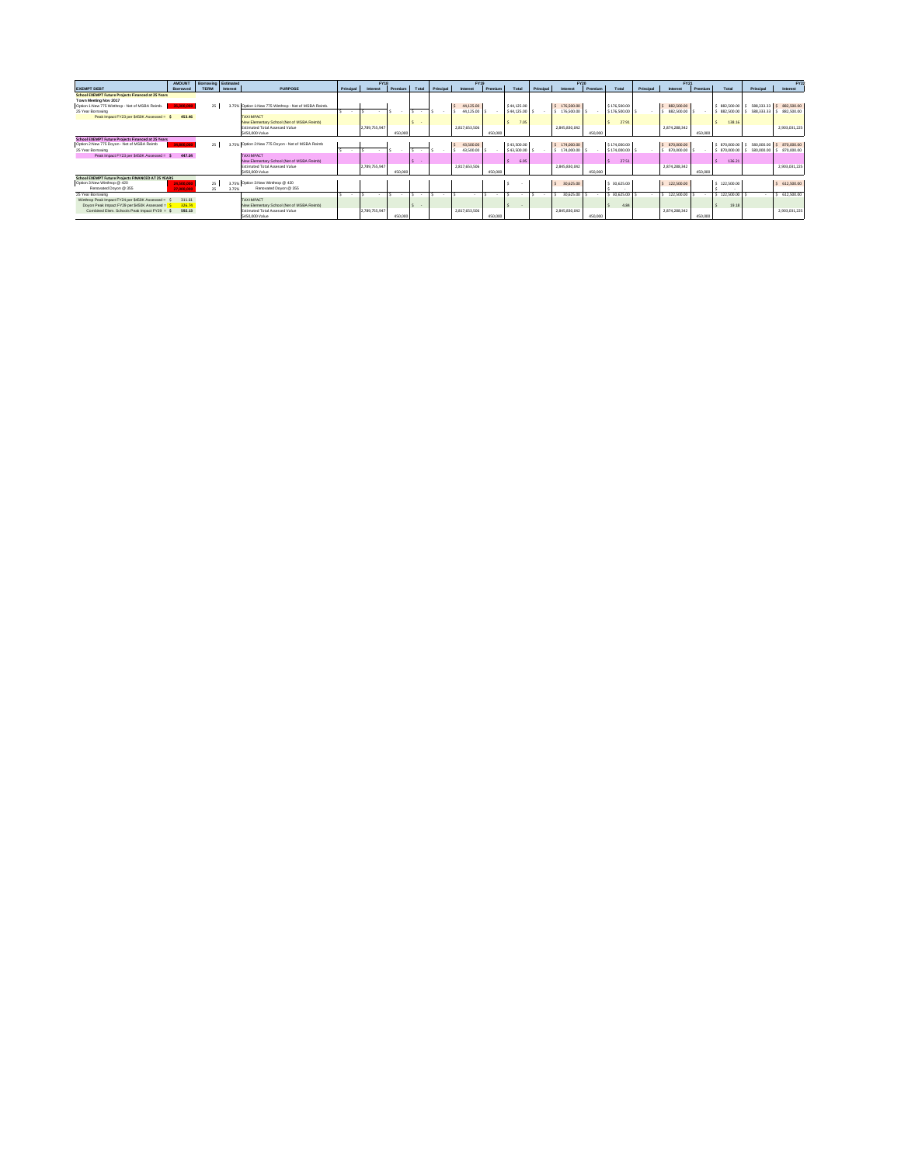|                                                                                                         | <b>AMOUNT</b> | Borrowing Estimated |          |                                                |           | <b>FY18</b>   |         |                  |           | <b>FY19</b>   |         |                        |           | <b>FY20</b>   |         |              |           | FY21          |         |                 |               | FY22          |
|---------------------------------------------------------------------------------------------------------|---------------|---------------------|----------|------------------------------------------------|-----------|---------------|---------|------------------|-----------|---------------|---------|------------------------|-----------|---------------|---------|--------------|-----------|---------------|---------|-----------------|---------------|---------------|
| <b>EXEMPT DEBT</b>                                                                                      | Borrowed      | <b>TERM</b>         | Interest | <b>PURPOSE</b>                                 | Principal | Interest      | Premium | Total            | Principal | Interest      | Premium | Total                  | Principal | Interest      | Premium | Total        | Principal | Interest      | Premium | Total           | Principal     | Interest      |
| <b>School EXEMPT Future Projects Financed at 25 Years</b>                                               |               |                     |          |                                                |           |               |         |                  |           |               |         |                        |           |               |         |              |           |               |         |                 |               |               |
| Town Meeting Nov 2017                                                                                   |               |                     |          |                                                |           |               |         |                  |           |               |         |                        |           |               |         |              |           |               |         |                 |               |               |
| Option 1:New 775 Winthrop - Net of MSBA Reimb.                                                          | 35.300,000    | $\mathbf{z}$        |          | Option 1:New 775 Winthrop - Net of MSBA Reimb. |           |               |         |                  |           | 44.125.00     |         | \$44,125.00            |           | \$176,500.00  |         | \$176,500.00 |           | 882,500.00    |         | \$882,500.00    | 588.333.33 \$ | 882,500.00    |
| 25 Year Borrowing                                                                                       |               |                     |          |                                                | $\sim$    |               |         | l s              |           | 44.125.00 S   |         | \$44,125.00            |           | 176,500.00    |         | \$176,500.00 |           | 882,500.00    |         | 882 500.00      | 588.333.33 S  | 882,500.00    |
| Peak Impact FY23 per \$450K Assessed = \$                                                               | 453.46        |                     |          | <b><i>TAX IMPACT</i></b>                       |           |               |         |                  |           |               |         |                        |           |               |         |              |           |               |         |                 |               |               |
|                                                                                                         |               |                     |          | New Elementary School (Net of MSBA Reimb)      |           |               |         | $\sim$<br>$\sim$ |           |               |         | 7.05                   |           |               |         | 27.91        |           |               |         | 138.16          |               |               |
|                                                                                                         |               |                     |          | <b>Estimated Total Assessed Value</b>          |           | 2.789.755.947 |         |                  |           | 2.817.653.506 |         |                        |           | 2,845,830,042 |         |              |           | 2.874.288.342 |         |                 |               | 2.903.031.225 |
|                                                                                                         |               |                     |          | \$450,000 Value                                |           |               | 450,000 |                  |           |               | 450,000 |                        |           |               | 450,000 |              |           |               | 450,000 |                 |               |               |
| <b>School EXEMPT Future Projects Financed at 25 Years</b><br>Option 2:New 775 Dovon - Net of MSBA Reimb | 34,800,000    | $\mathbf{z}$        |          |                                                |           |               |         |                  |           | 43,500.00     |         | \$43,500.00            |           | 174,000.00    |         | \$174,000.00 |           | 870,000.00    |         | \$870,000.00 \$ | 580,000.00 \$ | 870,000.00    |
| 25 Year Borrowing                                                                                       |               |                     |          | Option 2:New 775 Doyon - Net of MSBA Reimb     |           |               |         |                  |           | 43,500.00     |         | \$43,500.00            |           | 174,000.00    |         | \$174,000.00 |           | 870,000.00    |         | \$870,000.00    | 580,000.00    |               |
| Peak Impact FY23 per \$450K Assessed = \$                                                               | 447.04        |                     |          | <b>TAX IMPACT</b>                              | $\sim$    |               |         |                  |           |               |         |                        |           |               |         |              |           |               |         |                 |               | 870,000.00    |
|                                                                                                         |               |                     |          | New Elementary School (Net of MSBA Reimb)      |           |               |         | l s<br>$\sim$    |           |               |         | S<br>6.95              |           |               |         | 27.51        |           |               |         | 136.21          |               |               |
|                                                                                                         |               |                     |          | <b>Estimated Total Assessed Value</b>          |           | 2,789,755,947 |         |                  |           | 2.817.653.506 |         |                        |           | 2.845.830.042 |         |              |           | 2.874.288.342 |         |                 |               | 2,903,031,225 |
|                                                                                                         |               |                     |          | \$450,000 Value                                |           |               | 450,000 |                  |           |               | 450,000 |                        |           |               | 450,000 |              |           |               | 450,000 |                 |               |               |
| School EXEMPT Future Projects FINANCED AT 25 YEARS                                                      |               |                     |          |                                                |           |               |         |                  |           |               |         |                        |           |               |         |              |           |               |         |                 |               |               |
| Option 3:New Winthrop @ 420                                                                             | 24,500,000    | $\mathbf{z}$        |          | Cption 3:New Winthrop @ 420                    |           |               |         |                  |           |               |         | s                      |           | 30,625.00     |         | \$30,625.00  |           | 122,500.00    |         | \$122,500.00    |               | 612,500.00    |
| Renovated Dovon R 355                                                                                   | 27.000.000    |                     | 3.75%    | Renovated Dovon # 355                          |           |               |         |                  |           |               |         |                        |           |               |         |              |           |               |         |                 |               |               |
| 25 Year Borrowing                                                                                       |               |                     |          |                                                | $\sim$    |               |         |                  |           |               |         |                        |           | 30.625.00     |         | 30.625.00    |           | 122,500.00    |         | 122,500.00      |               | 612,500.00    |
| Winthrop Peak Impact FY24 per \$450K Assessed = \$                                                      | 311.61        |                     |          | <b>TAX IMPACT</b>                              |           |               |         |                  |           |               |         |                        |           |               |         |              |           |               |         |                 |               |               |
| Dovon Peak Impact FY29 per \$450K Assessed =                                                            | 326.74        |                     |          | New Elementary School (Net of MSBA Reimb)      |           |               |         | $S -$            |           |               |         | $\mathsf{S}$<br>$\sim$ |           |               |         | 4.84         |           |               |         | 19.18           |               |               |
| Combined Elem. Schools Peak Impact FY29 = <                                                             | 592.13        |                     |          | <b>Estimated Total Assessed Value</b>          |           | 2.789.755.947 |         |                  |           | 2.817.653.506 |         |                        |           | 2.845.830.042 |         |              |           | 2.874.288.342 |         |                 |               | 2.903.031.225 |
|                                                                                                         |               |                     |          | \$450,000 Value                                |           |               | 450,000 |                  |           |               | 450,000 |                        |           |               | 450,000 |              |           |               | 450,000 |                 |               |               |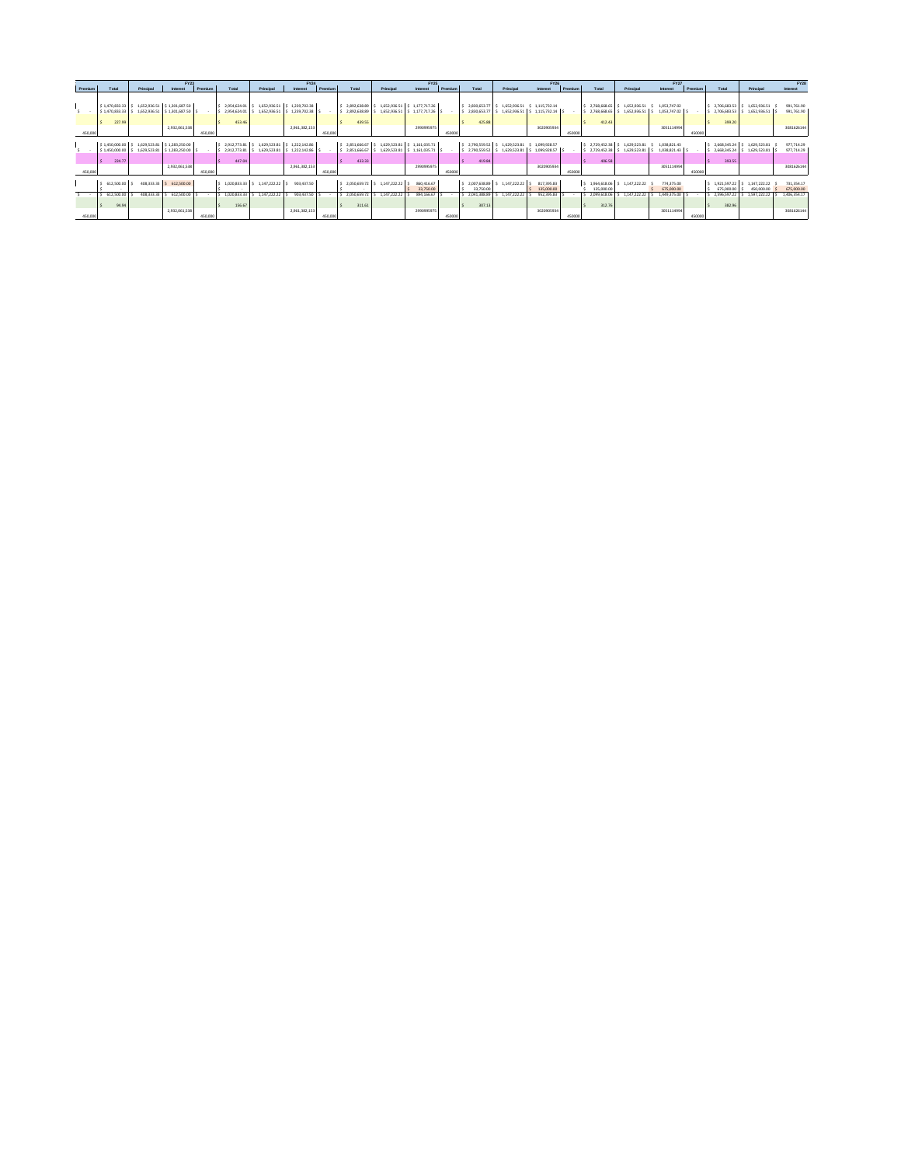|         |                                                           |                                                                                                 | <b>FY23</b><br><b>FY24</b><br>Interest Premium |         |        |                                                                                              |               |         |                                                        | <b>FY25</b>                   |                                                 |         |           |                                              | <b>FY26</b>                                                                                                                                                                                      |        |                                                                                                           |                               |                                                                      | <b>FY27</b> |        | <b>FY28</b>                                                                          |                                                          |  |
|---------|-----------------------------------------------------------|-------------------------------------------------------------------------------------------------|------------------------------------------------|---------|--------|----------------------------------------------------------------------------------------------|---------------|---------|--------------------------------------------------------|-------------------------------|-------------------------------------------------|---------|-----------|----------------------------------------------|--------------------------------------------------------------------------------------------------------------------------------------------------------------------------------------------------|--------|-----------------------------------------------------------------------------------------------------------|-------------------------------|----------------------------------------------------------------------|-------------|--------|--------------------------------------------------------------------------------------|----------------------------------------------------------|--|
| Premium | Total                                                     | Principal                                                                                       | Interest                                       | Premium | Total  | Principal                                                                                    |               |         | Total                                                  | Principal                     | Interest                                        | Premium | Total     | Principal                                    | Interest Premium                                                                                                                                                                                 |        | Total                                                                                                     | Principal                     | <b>Interest</b>                                                      | Premium     | Total  | Principal                                                                            | <b>Interest</b>                                          |  |
|         | 227.99                                                    | \$1,470,833.33 \$1,652,936.51 \$1,301,687.50<br>\$1,470,833,33 \$1,652,936.51 \$1,301,687.50 \$ |                                                |         | 453.46 | S 2.954.624.01 S 1.652.936.51 S 1.239.702.38<br>2.954.624.01 S 1.652.936.51 S 1.239.702.38 S |               |         | \$2,892,638.89 \$1,652,936.51 \$1,177,717.26<br>439.55 |                               | \$2.892.638.89 \$1.652.936.51 \$1.177.717.26 \$ |         | 475.88    | S 2.830.653.77 S 1.652.936.51 S 1.115.732.14 | \$2.830.653.77 \$1.652.936.51 \$1.115.732.14 \$                                                                                                                                                  |        | 412.43                                                                                                    | S 2.768.668.65 S 1.652.936.51 | \$1,053,747.02<br>\$ 2,768,668,65 \$ 1,652,936.51 \$ 1,053,747.02 \$ |             | 399.20 | 2.706.683.53 S 1.652.936.51<br>2.706.683.53 \$ 1.652.936.51 \$                       | 991.761.90<br>991.761.90                                 |  |
| 450.000 |                                                           |                                                                                                 | 2.932.061.538                                  | 450,000 |        |                                                                                              | 2.961.382.153 | 450,000 |                                                        |                               | 2990995975                                      | 45000   |           |                                              | 3020905934                                                                                                                                                                                       | 45000  |                                                                                                           |                               | 3051114994                                                           | 450000      |        |                                                                                      | 3081626144                                               |  |
|         | \$1,450,000,00 \$1,629,523.81 \$1,283,250,00 \$<br>224.77 | \$1,450,000.00 \$ 1,629,523.81 \$1,283,250.00                                                   |                                                |         | 447.04 | \$2,912,773.81 \$1,629,523.81 \$1,222,142.86                                                 |               |         | \$2,851,666.67 \$1,629,523.81 \$1,161,035.71<br>433.33 |                               |                                                 |         | 419 84    |                                              | \$2,790,559.52 \$1,629,523.81 \$1,099,928.57<br>5 2,912,773.81 5 1,629,523.81 5 1,222,142.86 5 5 5 2,851,666.67 5 1,629,523.81 5 1,161,035.71 5 5 2,790,559.52 5 1,629,523.81 5 1,099,928.57 5 - |        | \$2,729,452.38 \$1,629,523.81 \$1,038,821.43<br>\$2,729,452.38 \$1,629,523.81 \$1,038,821.43 \$<br>406.58 |                               |                                                                      |             | 393.55 | S 2.668.345.24 S 1.629.523.81 S                                                      | 977.714.29<br>S 2,668,345,24 S 1,629,523,81 S 977,714,29 |  |
| 450.000 |                                                           |                                                                                                 | 2.932.061.538                                  | 450,000 |        |                                                                                              | 2.961.382.153 | 450,000 |                                                        |                               | 2990995975                                      | 45000   |           |                                              | 3020905934                                                                                                                                                                                       | 45000  |                                                                                                           |                               | 3051114994                                                           | 45000       |        |                                                                                      | 3081626144                                               |  |
|         |                                                           | \$612,500,00 \$408,333,33 \$612,500,00                                                          |                                                |         |        | S 1.020.833.33 S 1.147.222.22 S                                                              | 903,437.50    |         | S 2.050.659.72 S 1.147.222.22 S 860.416.67             |                               | 33,750.00                                       |         | 33,750.00 |                                              | S 2.007.638.89 S 1.147.222.22 S 817.395.83<br>\$135,000.00                                                                                                                                       |        | S 1.964.618.06 S 1.147.222.22 S<br>135,000.00                                                             |                               | 774,375.00<br>675,000.00                                             |             |        | S 1.921.597.22 S 1.147.222.22 S 731.354.17<br>675,000.00 \$ 450,000.00 \$ 675,000.00 |                                                          |  |
|         | 612,500.00 S<br>94.94                                     | 408.333.33 \$                                                                                   | 612,500.00 S                                   |         | 156.67 | 1.020.833.33 S 1.147.222.22                                                                  | 903,437.50 S  |         | 311.61                                                 | \$2.050.659.72 \$1.147.222.22 | 894,166,67 S                                    |         | 307.13    | S 2.041.388.89 S 1.147.222.22                | 952 395.83 S                                                                                                                                                                                     |        | \$ 2,099,618,06 \$ 1,147,222,22 \$ 1,449,375,00 \$<br>312.76                                              |                               |                                                                      |             | 382.96 |                                                                                      | 2.596.597.22 \$ 1.597.222.22 \$ 1.406.354.17             |  |
| 450,000 |                                                           |                                                                                                 | 2.932.061.538                                  | 450,000 |        |                                                                                              | 2.961.382.153 | 450,000 |                                                        |                               | 2990995975                                      | 450000  |           |                                              | 3020905934                                                                                                                                                                                       | 450000 |                                                                                                           |                               | 3051114994                                                           | 450000      |        |                                                                                      | 3081626144                                               |  |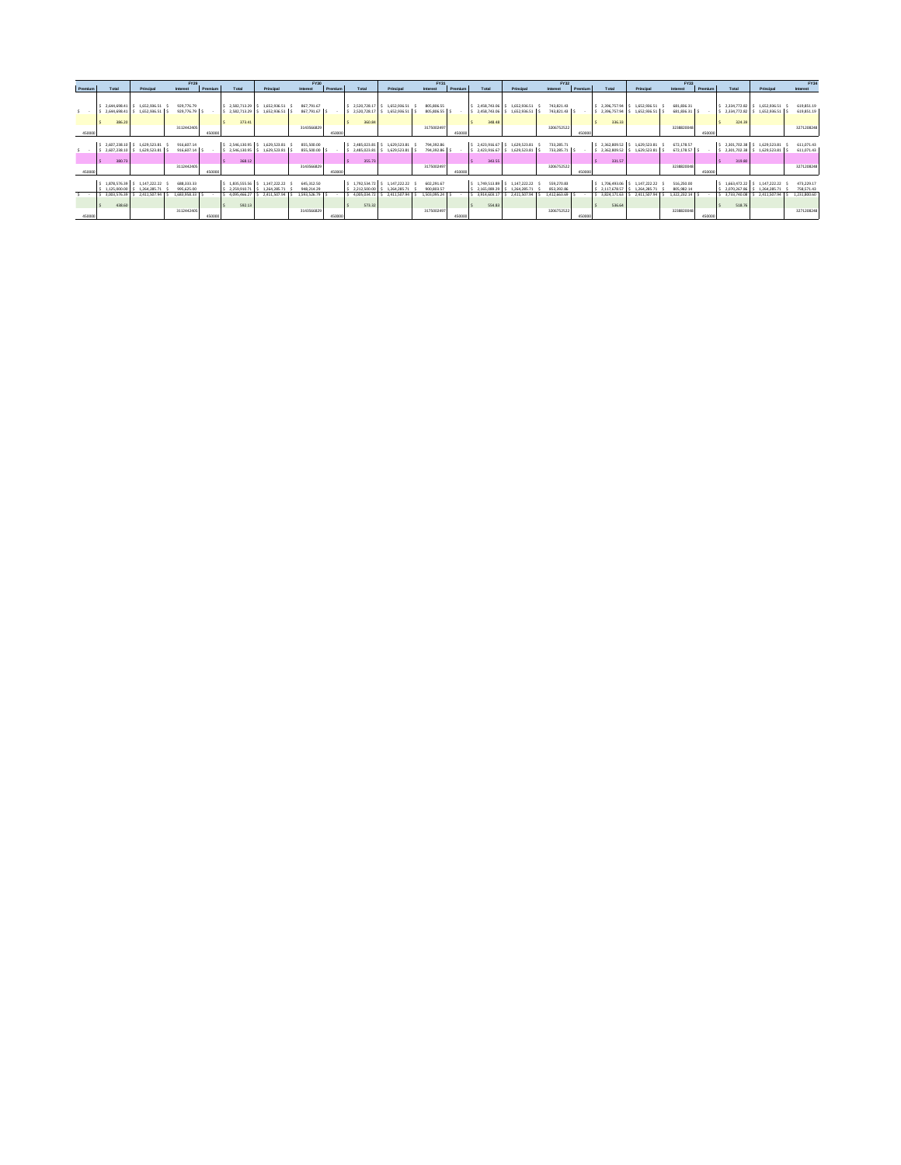|         |              | FY29                             |                 |         |                               |                              | FY30         |         |                   |                               | FY31         |        |                    |                                 | <b>FY32</b>  |        |                               |                                  | <b>FY33</b>    |        | <b>FY34</b>      |                               |              |
|---------|--------------|----------------------------------|-----------------|---------|-------------------------------|------------------------------|--------------|---------|-------------------|-------------------------------|--------------|--------|--------------------|---------------------------------|--------------|--------|-------------------------------|----------------------------------|----------------|--------|------------------|-------------------------------|--------------|
| Premium | Total        | Principal                        | Interest        | Premium | Total                         | Principal                    | Interest     | Premium | Total             | Principal                     | Interest     |        | Total              | Principa                        | Interest     |        | Total                         | Principa                         | Interest       |        | Total            | Principal                     | Interest     |
|         |              |                                  |                 |         |                               |                              |              |         |                   |                               |              |        |                    |                                 |              |        |                               |                                  |                |        |                  |                               |              |
|         |              |                                  |                 |         |                               |                              |              |         |                   |                               |              |        |                    |                                 |              |        |                               |                                  |                |        |                  |                               |              |
|         |              | 2.644.698.41 S 1.652.936.51      | 929.776.79      |         |                               | 2.582.713.29 \$ 1.652.936.51 | 867.791.67   |         | \$2.520.728.17    | 1,652,936.51                  | 805,806.55   |        |                    | \$2458,743.06 \$1,652,936.51    | 743.821.43   |        | S 2.396.757.94 S 1.652.936.51 |                                  | 681.836.31     |        | S 2.334.772.82   | 1.652.936.51                  | 619,851.19   |
|         | 2 644 698 41 | 1,652,936.51                     | 929.776.79 S    |         |                               | 2.582.713.29 \$ 1.652.936.51 | 867.791.67   |         | \$2.520.728.17    | 1,652,936.51                  | 805.806.55   |        | 2,458,743.06       | 1,652,936.51                    | 743.821.43   |        |                               | \$2.396,757.94 \$1.652,936.51    | 681, 836, 31   |        | 2.334.772.82     | 1.652.936.51                  | 619,851.19   |
|         | 386.2        |                                  |                 |         | 373.41                        |                              |              |         | 360.84            |                               |              |        | 348.48             |                                 |              |        | 336.33                        |                                  |                |        | 324.39           |                               |              |
|         |              |                                  | 3112442405      |         |                               |                              | 3143566829   |         |                   |                               | 3175002497   |        |                    |                                 | 3206752522   |        |                               |                                  | 323882004      |        |                  |                               | 3271208248   |
| 450000  |              |                                  |                 | 450000  |                               |                              |              | 45000   |                   |                               |              | 450000 |                    |                                 |              | 450000 |                               |                                  |                | 450000 |                  |                               |              |
|         |              |                                  |                 |         |                               |                              |              |         |                   |                               |              |        |                    |                                 |              |        |                               |                                  |                |        |                  |                               |              |
|         |              | \$2.607.238.10 \$1.629.523.81    | 916.607.14      |         | S 2.546.130.95 S 1.629.523.81 |                              | 855,500.00   |         | S 2,485,023.81 S  | 1,629,523,81                  | 794.392.86   |        | $5$ 2.423.916.67 S | 1,629,523.81                    | 733, 285.71  |        | S 2.362.809.52 S 1.629.523.81 |                                  | 672,178.57     |        | \$2.301.702.38   | 1.629.523.81                  | 611,071,43   |
|         |              | 2.607.238.10 S 1.629.523.81      | 916,607.14 S    |         |                               | 2,546,130.95 \$ 1,629,523.81 | 855,500.00   |         | $$2,485,023.81$ : | 1,629,523.81                  | 794.392.86 S |        |                    | \$2,423,916.67 \$1,629,523.81 : | 733,285.71 S |        |                               | \$2.362,809.52 \$1.629.523.81 \$ | 672.178.57 S - |        | \$2,301,702.38   | 1.629.523.81 \$               | 611,071.43   |
|         |              |                                  |                 |         |                               |                              |              |         |                   |                               |              |        |                    |                                 |              |        |                               |                                  |                |        |                  |                               |              |
|         | 380.73       |                                  | 3112442405      |         | 368.12                        |                              | 3143566829   |         | 355.73            |                               | 3175002497   |        | 343.55             |                                 | 3206752522   |        | 331.57                        |                                  | 3238820048     |        | 319.80           |                               | 3271208248   |
| 450000  |              |                                  |                 | 450000  |                               |                              |              | 45000   |                   |                               |              | 450000 |                    |                                 |              | 450000 |                               |                                  |                | 450000 |                  |                               |              |
|         |              |                                  |                 |         |                               |                              |              |         |                   |                               |              |        |                    |                                 |              |        |                               |                                  |                |        |                  |                               |              |
|         |              | \$1,878,576.39 \$1,147,222.22 \$ | 688.333.33      |         | S 1.835.555.56 S 1.147.222.22 |                              | 645.312.50   |         |                   | S 1.792.534.72 S 1.147.222.22 | 602.291.67   |        |                    | S 1.749.513.89 S 1.147.222.22   | 559,270.83   |        | S 1,706,493.06 S 1,147,222.22 |                                  | 516,250.00     |        | S 1.663.472.22 S | 1.147.222.22 \$               | 473,229.17   |
|         |              | 1,125,000.00 S 1,264,285.71 S    | 995.625.00      |         |                               | 2.259.910.71 \$ 1.264.285.71 | 948.214.29   |         |                   | S 2.212.500.00 S 1.264.285.71 | 900.803.57   |        |                    | \$2.165.089.29 \$1.264.285.71   | 853 392.86   |        | S 2.117.678.57 S 1.264.285.71 |                                  | 805.982.14     |        |                  | S 2.070.267.86 S 1.264.285.71 | 758,571,43   |
|         |              | 3.003.576.39 S 2.411.507.94      | 1.683.958.33 \$ |         | 4.095.466.27                  | 2.411.507.94                 | 1,593,526.79 |         | \$4,005,034.72    | 2,411,507.94                  | 1,503,095.24 |        | 3.914.603.17       | 2.411.507.94                    | 1.412.663.69 |        |                               | S 3.824.171.63 S 2.411.507.94    | 1.322.232.14   |        | 3.733.740.08     | 2.411.507.94                  | 1,231,800.60 |
|         |              |                                  |                 |         |                               |                              |              |         |                   |                               |              |        |                    |                                 |              |        |                               |                                  |                |        |                  |                               |              |
|         | 438.60       |                                  |                 |         | 592.13                        |                              |              |         | 573.32            |                               |              |        | 554.83             |                                 |              |        | 536.64                        |                                  |                |        | 518.76           |                               |              |
|         |              |                                  | 3112442405      |         |                               |                              | 3143566829   |         |                   |                               | 3175002497   |        |                    |                                 | 3206752522   |        |                               |                                  | 323882004      |        |                  |                               | 3271208248   |
| 450000  |              |                                  |                 | 450000  |                               |                              |              | 450000  |                   |                               |              | 450000 |                    |                                 |              | 450000 |                               |                                  |                | 450000 |                  |                               |              |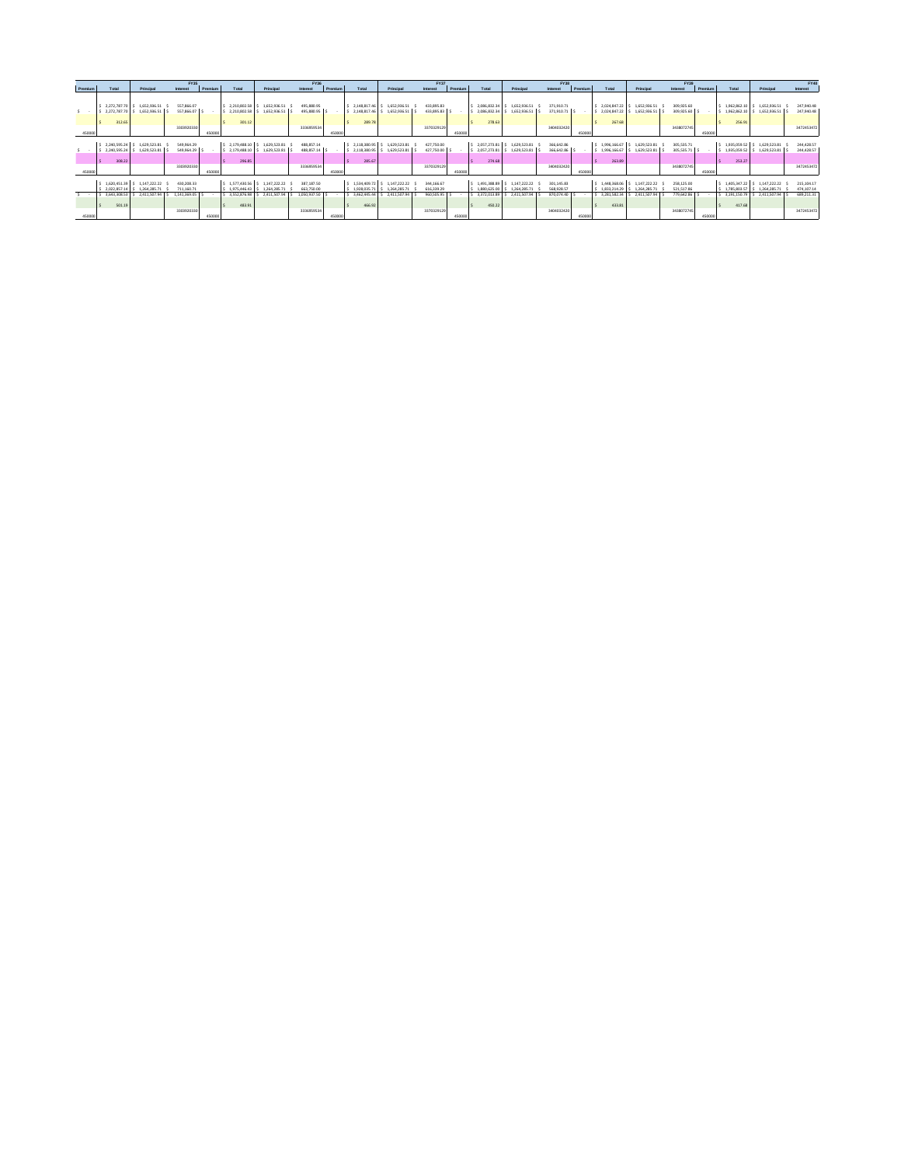|         | FY35<br>Principal<br>Premium<br>Total<br>Total<br>Interest |                                                            |                          |        |                                 |                                              | FY36                     |         |                                  |                               | <b>FY37</b>              |        |                                |                                  | <b>FY38</b>              |        |                               |                                    | FY39                     |        | <b>FY40</b>                  |                                 |                          |
|---------|------------------------------------------------------------|------------------------------------------------------------|--------------------------|--------|---------------------------------|----------------------------------------------|--------------------------|---------|----------------------------------|-------------------------------|--------------------------|--------|--------------------------------|----------------------------------|--------------------------|--------|-------------------------------|------------------------------------|--------------------------|--------|------------------------------|---------------------------------|--------------------------|
| Premium |                                                            |                                                            |                          |        |                                 | Principal                                    | Interest                 | Premium | Total                            | Principal                     | Interest                 |        | Total                          | Principa                         | Interest                 |        | Total                         | Principa                           | Interest                 |        | Total                        | Principal                       | Interest                 |
|         |                                                            |                                                            |                          |        |                                 |                                              |                          |         |                                  |                               |                          |        |                                |                                  |                          |        |                               |                                    |                          |        |                              |                                 |                          |
|         |                                                            |                                                            |                          |        |                                 |                                              |                          |         |                                  |                               |                          |        |                                |                                  |                          |        |                               |                                    |                          |        |                              |                                 |                          |
|         |                                                            | 2.272.787.70 S 1.652.936.51<br>2.272.787.70 S 1.652.936.51 | 557.866.07<br>557,866.07 |        | 2.210.802.58 S                  | 2.210.802.58 \$ 1.652.936.51<br>1,652,936.51 | 495.880.95<br>495.880.95 |         | \$2.148.817.46<br>S 2.148.817.46 | 1,652,936.51<br>1,652,936.51  | 433,895.83<br>433,895.83 |        | \$2,086,832.34<br>2.086.832.34 | 1.652.936.51<br>1,652,936.51     | 371,910.71<br>371,910.71 |        | S 2.024.847.22 S 1.652.936.51 | \$2.024.847.22 \$1.652.936.51      | 309.925.60<br>309.925.60 |        | 1,962,862.10<br>1,962,862.10 | 1.652.936.51<br>1.652.936.51    | 247,940.48<br>247,940.48 |
|         |                                                            |                                                            |                          |        |                                 |                                              |                          |         |                                  |                               |                          |        |                                |                                  |                          |        |                               |                                    |                          |        |                              |                                 |                          |
|         | 312.65                                                     |                                                            |                          |        | 301.12                          |                                              |                          |         | 289.78                           |                               |                          |        | 278.63                         |                                  |                          |        | 267.68                        |                                    |                          |        | 256.91                       |                                 |                          |
|         |                                                            |                                                            | 3303920330               |        |                                 |                                              | 3336959534               |         |                                  |                               | 3370329129               |        |                                |                                  | 3404032420               |        |                               |                                    | 3438072745               |        |                              |                                 | 3472453472               |
| 450000  |                                                            |                                                            |                          | 45000  |                                 |                                              |                          | 45000   |                                  |                               |                          | 450000 |                                |                                  |                          | 450000 |                               |                                    |                          | 45000  |                              |                                 |                          |
|         |                                                            |                                                            |                          |        |                                 |                                              |                          |         |                                  |                               |                          |        |                                |                                  |                          |        |                               |                                    |                          |        |                              |                                 |                          |
|         |                                                            | 2240.595.24 \$ 1.629.523.81                                | 549.964.29               |        | S 2.179.488.10 S 1.629.523.81   |                                              | 488.857.14               |         | S 2.118.380.95 9                 | 1,629,523,81                  | 427,750.00               |        |                                | \$2,057,273.81 \$1,629,523.81    | 366,642.86               |        | S 1,996,166.67 S 1,629,523.81 |                                    | 305.535.71               |        | \$1.935.059.52               | 1.629.523.81                    | 244,428.57               |
|         |                                                            | 2.240.595.24 S 1.629.523.81                                | 549,964.29 S             |        |                                 | 2.179.488.10 \$ 1.629.523.81                 | 488.857.14               |         | $S$ 2.118.380.95                 | 1,629,523.81                  | 427.750.00 S             |        |                                | \$2.057.273.81 \$1.629.523.81 \$ | 366,642.86               |        |                               | \$ 1,996,166.67 \$ 1,629,523.81 \$ | 305.535.71               |        | 1.935.059.52                 | 1.629.523.81 S                  | 244.428.57               |
|         | 308.22                                                     |                                                            |                          |        | 296.85                          |                                              |                          |         | 285.67                           |                               |                          |        | 274.68                         |                                  |                          |        | 263.85                        |                                    |                          |        | 253.27                       |                                 |                          |
|         |                                                            |                                                            | 3303920330               |        |                                 |                                              | 3336959534               |         |                                  |                               | 3370329129               |        |                                |                                  | 3404032420               |        |                               |                                    | 343807274                |        |                              |                                 | 3472453472               |
| 450000  |                                                            |                                                            |                          | 450000 |                                 |                                              |                          | 450000  |                                  |                               |                          | 450000 |                                |                                  |                          | 450000 |                               |                                    |                          | 450000 |                              |                                 |                          |
|         |                                                            |                                                            |                          |        |                                 |                                              |                          |         |                                  |                               |                          |        |                                |                                  |                          |        |                               |                                    |                          |        |                              |                                 |                          |
|         | \$1,620,451.39 \$1,147,222.22 \$                           |                                                            | 430,208.33               |        | S 1,577,430.56 S 1,147,222,22 S |                                              | 387.187.50               |         | S 1.534.409.72 S 1.147.222.22    |                               | 344.166.67               |        |                                | S 1.491.388.89 S 1.147.222.22 S  | 301.145.83               |        | S 1,448,368.06 S 1,147,222,22 |                                    | 258.125.00               |        |                              | S 1.405.347.22 S 1.147.222.22 S | 215, 104.17              |
|         |                                                            | 2.022.857.14 S 1.264.285.71 S                              | 711.160.71               |        |                                 | S 1,975,446.43 S 1,264,285.71                | 663,750.00               |         |                                  | S 1.928.035.71 S 1.264.285.71 | 616.339.29               |        |                                | \$1,880,625.00 \$1,264,285.71    | 568,928.57               |        | S 1.833.214.29 S 1.264.285.71 |                                    | 521.517.86               |        |                              | S 1.785.803.57 S 1.264.285.71 S | 474.107.14               |
|         | 3.643.308.53                                               | S 2.411.507.94                                             | 1,141,369.05 \$          |        |                                 | 3.552.876.98 \$2.411.507.94                  | 1,050,937.50             |         | S 3.462.445.44                   | 2,411,507.94                  | 960.505.95               |        | 3.372.013.89                   | 2,411.507.94                     | 870.074.40               |        | 3.281.582.34                  | 2.411.507.94                       | 779.642.86               |        | 3.191.150.79                 | 2.411.507.94                    | 689.211.31               |
|         |                                                            |                                                            |                          |        |                                 |                                              |                          |         |                                  |                               |                          |        |                                |                                  |                          |        |                               |                                    |                          |        |                              |                                 |                          |
|         | 501.19                                                     |                                                            |                          |        | 483.93                          |                                              |                          |         | 466.92                           |                               |                          |        | 450.22                         |                                  |                          |        | 433.81                        |                                    |                          |        | 417.68                       |                                 |                          |
| 450000  |                                                            |                                                            | 3303920330               | 450000 |                                 |                                              | 3336959534               | 450000  |                                  |                               | 3370329129               | 450000 |                                |                                  | 3404032420               | 450000 |                               |                                    | 343807274                | 450000 |                              |                                 | 3472453472               |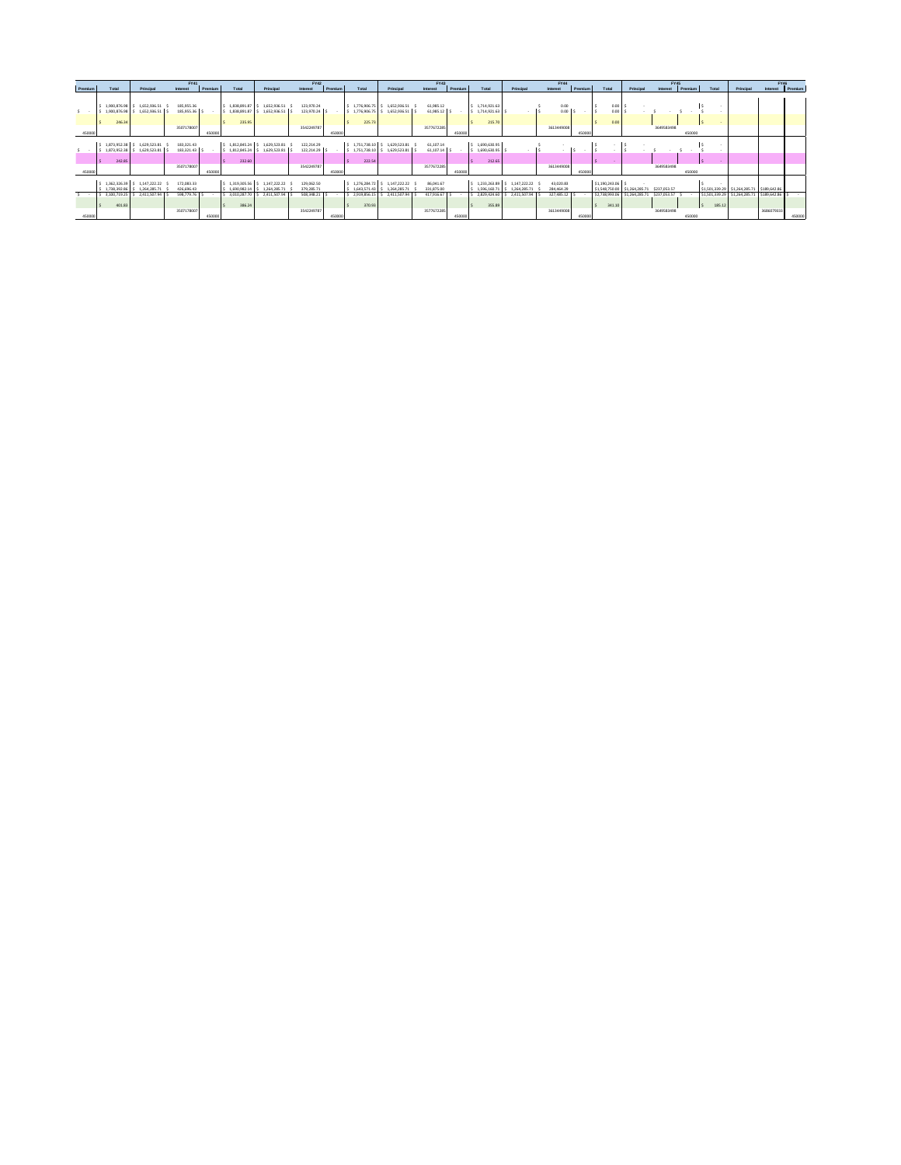|         |                               |                               | <b>FY41</b>     |         |                                 |              | <b>FY42</b>  |         |                                  |                                 | <b>FY43</b>  |         |                  |                                  | <b>FY44</b>     |         |                   |                                            | <b>FY45</b>  |         |        |                                            | <b>FY46</b>      |        |
|---------|-------------------------------|-------------------------------|-----------------|---------|---------------------------------|--------------|--------------|---------|----------------------------------|---------------------------------|--------------|---------|------------------|----------------------------------|-----------------|---------|-------------------|--------------------------------------------|--------------|---------|--------|--------------------------------------------|------------------|--------|
| Premium | Total                         | Principal                     | <b>Interest</b> | Premium | Total                           | Principal    | Interest     | Premium | Total                            | Principal                       | Interest     | Premium | Total            | Principal                        | <b>Interest</b> | Premium | Total             | Principal                                  | Interest     | Premium | Total  | Principal                                  | Interest Premium |        |
|         |                               |                               |                 |         |                                 |              |              |         |                                  |                                 |              |         |                  |                                  |                 |         |                   |                                            |              |         |        |                                            |                  |        |
|         |                               |                               |                 |         |                                 |              |              |         |                                  |                                 |              |         |                  |                                  |                 |         |                   |                                            |              |         |        |                                            |                  |        |
|         | \$1,900,876,98 \$1,652,936.51 |                               | 185, 955, 36    |         | \$1.838,891.87                  | 1,652,936.51 | 123.970.24   |         |                                  | S 1,776,906.75 S 1,652,936.51   | 61.985.12    |         | $5$ 1.714.921.63 |                                  | 0.00            |         | 0.00              |                                            |              |         |        |                                            |                  |        |
|         |                               | 1,900,876,98 \$ 1,652,936.51  | 185,955,36      |         | \$1.838.891.87                  | 1,652,936.51 | 123,970.24   |         |                                  | 5 1.776,906.75 \$ 1.652,936.51  | 61.985.12 S  |         | 1,714,921.63     |                                  | 0.00            |         | 0.00              |                                            |              |         |        |                                            |                  |        |
|         |                               |                               |                 |         |                                 |              |              |         |                                  |                                 |              |         |                  |                                  |                 |         |                   |                                            |              |         |        |                                            |                  |        |
|         | 246.34                        |                               |                 |         | 235.95                          |              | 3542249787   |         | 225.73                           |                                 | 3577672285   |         | 215.70           |                                  | 3613449008      |         | 0.00              |                                            | 3649583498   |         |        |                                            |                  |        |
| 45000   |                               |                               | 3507178007      | 450000  |                                 |              |              | 450000  |                                  |                                 |              | 45000   |                  |                                  |                 | 45000   |                   |                                            |              | 450000  |        |                                            |                  |        |
|         |                               |                               |                 |         |                                 |              |              |         |                                  |                                 |              |         |                  |                                  |                 |         |                   |                                            |              |         |        |                                            |                  |        |
|         | S 1.873.952.38 S 1.629.523.81 |                               | 183, 321, 43    |         | S 1.812.845.24 S 1.629.523.81   |              | 122,214.29   |         | \$1,751,738.10 \$1,629,523.81    |                                 | 61,107.14    |         | \$1,690,630.95   |                                  |                 |         |                   |                                            |              |         |        |                                            |                  |        |
|         |                               | 1,873,952.38 \$ 1,629,523.81  | 183, 321, 43    |         | \$1,812,845.24 \$1,629,523.81   |              | 122.214.29 S |         |                                  | S 1,751,738.10 S 1,629.523.81   | 61.107.14 S  |         | \$1,690,630.95   |                                  |                 |         |                   |                                            |              |         |        |                                            |                  |        |
|         |                               |                               |                 |         |                                 |              |              |         |                                  |                                 |              |         |                  |                                  |                 |         |                   |                                            |              |         |        |                                            |                  |        |
|         | 242.85                        |                               |                 |         | 232.60                          |              |              |         | 222.54                           |                                 |              |         | 212.65           |                                  |                 |         | <b>COL</b>        |                                            |              |         |        |                                            |                  |        |
|         |                               |                               | 3507178007      |         |                                 |              | 3542249787   |         |                                  |                                 | 3577672285   |         |                  |                                  | 3613449008      |         |                   |                                            | 3649583498   |         |        |                                            |                  |        |
| 450000  |                               |                               |                 | 450000  |                                 |              |              | 450000  |                                  |                                 |              | 450000  |                  |                                  |                 | 450000  |                   |                                            |              | 450000  |        |                                            |                  |        |
|         |                               |                               |                 |         |                                 |              |              |         |                                  |                                 |              |         |                  |                                  |                 |         |                   |                                            |              |         |        |                                            |                  |        |
|         | \$1,362,326.39 \$1,147,222.22 |                               | 172.083.33      |         | \$1,319,305.56 \$1,147,222.22   |              | 129,062.50   |         | \$1,276,284.72 \$1,147,222.22 \$ |                                 | 86,041.67    |         |                  | \$1,233,263.89 \$1,147,222.22 \$ | 43.020.83       |         | \$1,190,243.06 \$ |                                            |              |         |        |                                            |                  |        |
|         |                               | S 1.738.392.86 S 1.264.285.71 | 426,696.43      |         | S 1,690,982.14 S 1,264,285.71   |              | 379.285.71   |         |                                  | S 1,643,571,43 S 1,264,285,71 S | 331,875.00   |         |                  | \$1,596,160.71 \$1,264,285.71 \$ | 284, 464.29     |         |                   | \$1,548,750.00 \$1,264,285,71 \$237,053.57 |              |         |        | \$1,501,339.29 \$1,264,285.71 \$189,642.86 |                  |        |
|         |                               | 3.100.719.25 S 2.411.507.94   | 598,779.76      |         | \$ 3,010,287.70 \$ 2,411,507.94 |              | 508.348.21   |         |                                  | 2,919,856.15 \$ 2,411,507.94    | 417,916.67 S |         | 2.829.424.60     | \$2,411,507.94                   | 327,485.12      |         | \$2,738,993.06    | \$1,264,285.71                             | \$237,053.57 |         |        | \$1,501,339.29 \$1,264,285.7               | \$189,642.86     |        |
|         |                               |                               |                 |         |                                 |              |              |         |                                  |                                 |              |         |                  |                                  |                 |         |                   |                                            |              |         |        |                                            |                  |        |
|         | 401.83                        |                               |                 |         | 386.24                          |              |              |         | 370.93                           |                                 | 3577672285   |         | 355.89           |                                  | 3613449008      |         | 341.10<br>$\sim$  |                                            |              | $\sim$  | 185.12 |                                            | 3686079333       |        |
| 450000  |                               |                               | 3507178007      | 450000  |                                 |              | 3542249787   | 450000  |                                  |                                 |              | 450000  |                  |                                  |                 | 450000  |                   |                                            | 3649583498   | 450000  |        |                                            |                  | 450000 |
|         |                               |                               |                 |         |                                 |              |              |         |                                  |                                 |              |         |                  |                                  |                 |         |                   |                                            |              |         |        |                                            |                  |        |